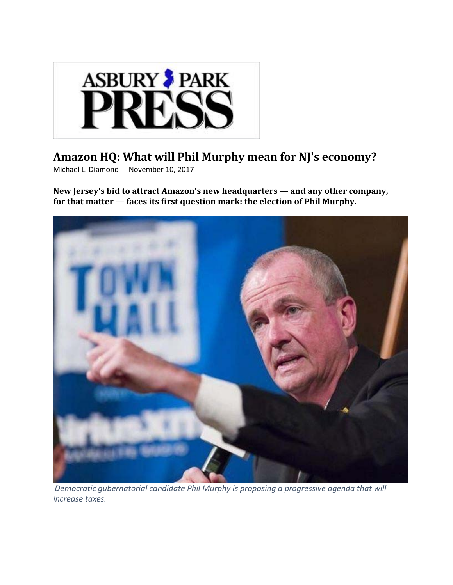

#### **Amazon HQ: What will Phil Murphy mean for NJ's economy?**

Michael L. Diamond ‐ November 10, 2017

**New Jersey's bid to attract Amazon's new headquarters — and any other company, for that matter — faces its first question mark: the election of Phil Murphy.**



*Democratic gubernatorial candidate Phil Murphy is proposing a progressive agenda that will increase taxes.*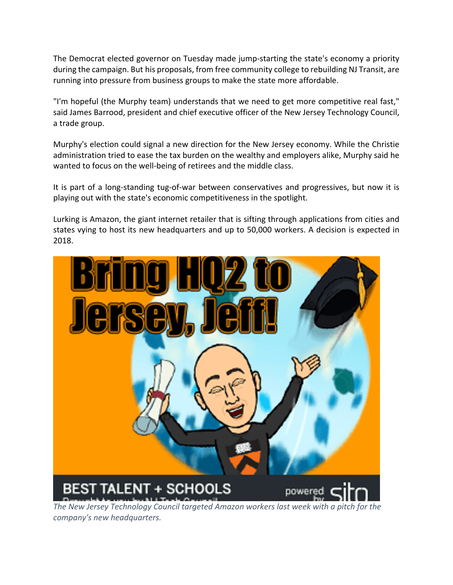The Democrat elected governor on Tuesday made jump‐starting the state's economy a priority during the campaign. But his proposals, from free community college to rebuilding NJ Transit, are running into pressure from business groups to make the state more affordable.

"I'm hopeful (the Murphy team) understands that we need to get more competitive real fast," said James Barrood, president and chief executive officer of the New Jersey Technology Council, a trade group.

Murphy's election could signal a new direction for the New Jersey economy. While the Christie administration tried to ease the tax burden on the wealthy and employers alike, Murphy said he wanted to focus on the well-being of retirees and the middle class.

It is part of a long‐standing tug‐of‐war between conservatives and progressives, but now it is playing out with the state's economic competitiveness in the spotlight.

Lurking is Amazon, the giant internet retailer that is sifting through applications from cities and states vying to host its new headquarters and up to 50,000 workers. A decision is expected in 2018.



*The New Jersey Technology Council targeted Amazon workers last week with a pitch for the company's new headquarters.*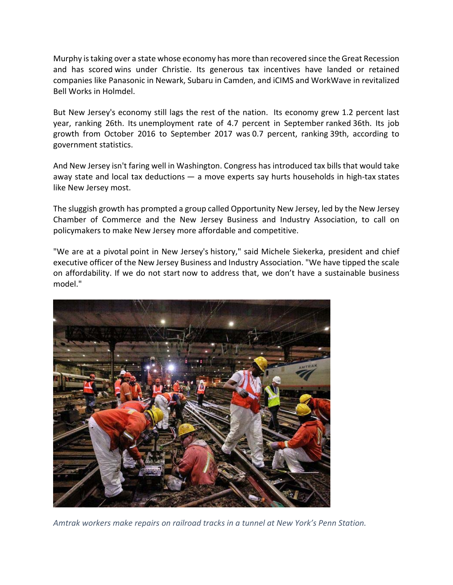Murphy istaking over a state whose economy has more than recovered since the Great Recession and has scored wins under Christie. Its generous tax incentives have landed or retained companies like Panasonic in Newark, Subaru in Camden, and iCIMS and WorkWave in revitalized Bell Works in Holmdel.

But New Jersey's economy still lags the rest of the nation. Its economy grew 1.2 percent last year, ranking 26th. Its unemployment rate of 4.7 percent in September ranked 36th. Its job growth from October 2016 to September 2017 was 0.7 percent, ranking 39th, according to government statistics.

And New Jersey isn't faring well in Washington. Congress has introduced tax bills that would take away state and local tax deductions — a move experts say hurts households in high-tax states like New Jersey most.

The sluggish growth has prompted a group called Opportunity New Jersey, led by the New Jersey Chamber of Commerce and the New Jersey Business and Industry Association, to call on policymakers to make New Jersey more affordable and competitive.

"We are at a pivotal point in New Jersey's history," said Michele Siekerka, president and chief executive officer of the New Jersey Business and Industry Association. "We have tipped the scale on affordability. If we do not start now to address that, we don't have a sustainable business model."



*Amtrak workers make repairs on railroad tracks in a tunnel at New York's Penn Station.*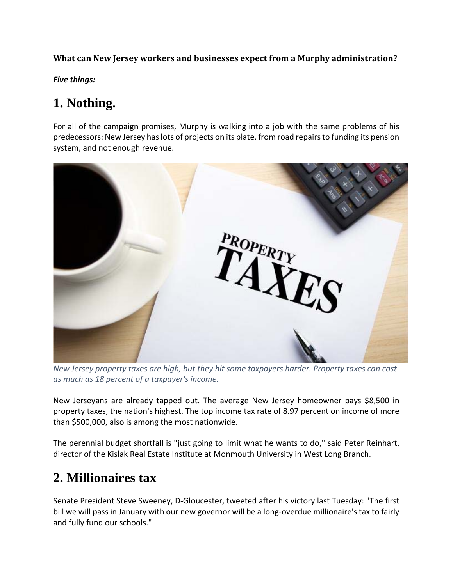**What can New Jersey workers and businesses expect from a Murphy administration?**

*Five things:*

## **1. Nothing.**

For all of the campaign promises, Murphy is walking into a job with the same problems of his predecessors: New Jersey haslots of projects on its plate, from road repairsto funding its pension system, and not enough revenue.



*New Jersey property taxes are high, but they hit some taxpayers harder. Property taxes can cost as much as 18 percent of a taxpayer's income.*

New Jerseyans are already tapped out. The average New Jersey homeowner pays \$8,500 in property taxes, the nation's highest. The top income tax rate of 8.97 percent on income of more than \$500,000, also is among the most nationwide.

The perennial budget shortfall is "just going to limit what he wants to do," said Peter Reinhart, director of the Kislak Real Estate Institute at Monmouth University in West Long Branch.

## **2. Millionaires tax**

Senate President Steve Sweeney, D‐Gloucester, tweeted after his victory last Tuesday: "The first bill we will pass in January with our new governor will be a long-overdue millionaire's tax to fairly and fully fund our schools."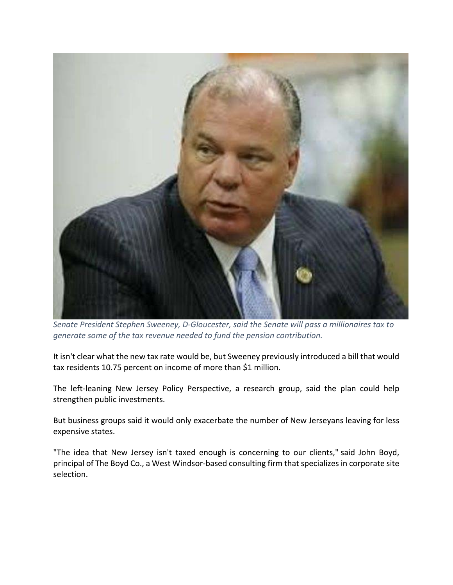

*Senate President Stephen Sweeney, D‐Gloucester, said the Senate will pass a millionaires tax to generate some of the tax revenue needed to fund the pension contribution.*

It isn't clear what the new tax rate would be, but Sweeney previously introduced a bill that would tax residents 10.75 percent on income of more than \$1 million.

The left-leaning New Jersey Policy Perspective, a research group, said the plan could help strengthen public investments.

But business groups said it would only exacerbate the number of New Jerseyans leaving for less expensive states.

"The idea that New Jersey isn't taxed enough is concerning to our clients," said John Boyd, principal of The Boyd Co., a West Windsor-based consulting firm that specializes in corporate site selection.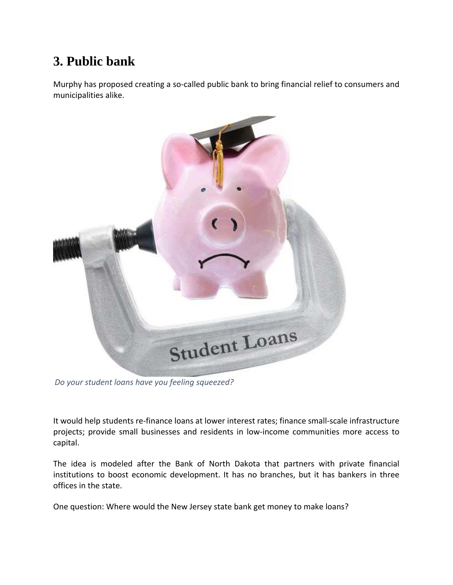# **3. Public bank**

Murphy has proposed creating a so-called public bank to bring financial relief to consumers and municipalities alike.



*Do your student loans have you feeling squeezed?*

It would help students re‐finance loans at lower interest rates; finance small‐scale infrastructure projects; provide small businesses and residents in low‐income communities more access to capital.

The idea is modeled after the Bank of North Dakota that partners with private financial institutions to boost economic development. It has no branches, but it has bankers in three offices in the state.

One question: Where would the New Jersey state bank get money to make loans?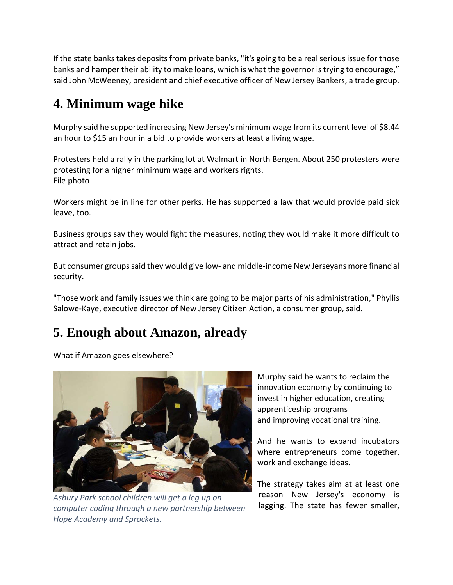If the state banks takes deposits from private banks, "it's going to be a real serious issue for those banks and hamper their ability to make loans, which is what the governor is trying to encourage," said John McWeeney, president and chief executive officer of New Jersey Bankers, a trade group.

## **4. Minimum wage hike**

Murphy said he supported increasing New Jersey's minimum wage from its current level of \$8.44 an hour to \$15 an hour in a bid to provide workers at least a living wage.

Protesters held a rally in the parking lot at Walmart in North Bergen. About 250 protesters were protesting for a higher minimum wage and workers rights. File photo

Workers might be in line for other perks. He has supported a law that would provide paid sick leave, too.

Business groups say they would fight the measures, noting they would make it more difficult to attract and retain jobs.

But consumer groups said they would give low- and middle-income New Jerseyans more financial security.

"Those work and family issues we think are going to be major parts of his administration," Phyllis Salowe‐Kaye, executive director of New Jersey Citizen Action, a consumer group, said.

### **5. Enough about Amazon, already**

What if Amazon goes elsewhere?



*Asbury Park school children will get a leg up on computer coding through a new partnership between Hope Academy and Sprockets.*

Murphy said he wants to reclaim the innovation economy by continuing to invest in higher education, creating apprenticeship programs and improving vocational training.

And he wants to expand incubators where entrepreneurs come together, work and exchange ideas.

The strategy takes aim at at least one reason New Jersey's economy is lagging. The state has fewer smaller,